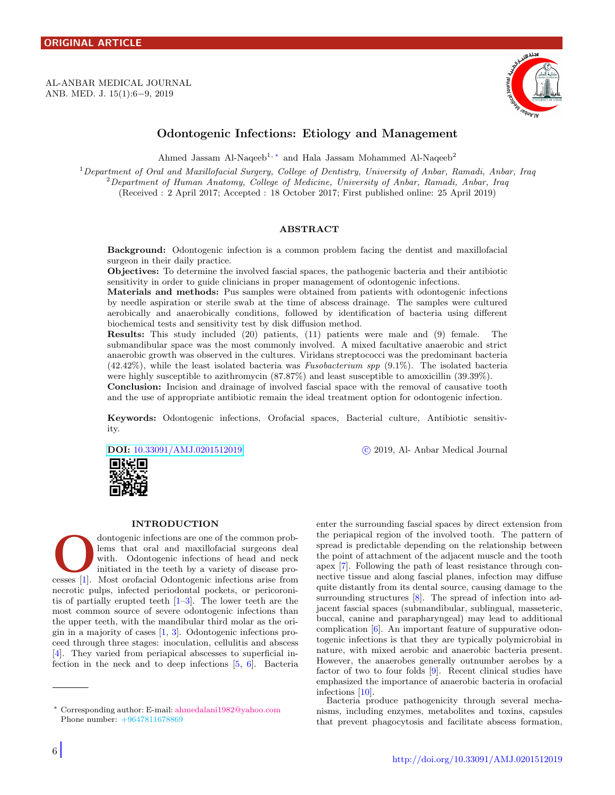<span id="page-0-1"></span>AL-ANBAR MEDICAL JOURNAL ANB. MED. J. 15(1):6−9, 2019



# Odontogenic Infections: Etiology and Management

Ahmed Jassam Al-Naqeeb<sup>1,\*</sup> and Hala Jassam Mohammed Al-Naqeeb<sup>2</sup>

<sup>1</sup>Department of Oral and Maxillofacial Surgery, College of Dentistry, University of Anbar, Ramadi, Anbar, Iraq <sup>2</sup>Department of Human Anatomy, College of Medicine, University of Anbar, Ramadi, Anbar, Iraq (Received : 2 April 2017; Accepted : 18 October 2017; First published online: 25 April 2019)

#### ABSTRACT

Background: Odontogenic infection is a common problem facing the dentist and maxillofacial surgeon in their daily practice.

Objectives: To determine the involved fascial spaces, the pathogenic bacteria and their antibiotic sensitivity in order to guide clinicians in proper management of odontogenic infections.

Materials and methods: Pus samples were obtained from patients with odontogenic infections by needle aspiration or sterile swab at the time of abscess drainage. The samples were cultured aerobically and anaerobically conditions, followed by identification of bacteria using different biochemical tests and sensitivity test by disk diffusion method.

Results: This study included (20) patients, (11) patients were male and (9) female. The submandibular space was the most commonly involved. A mixed facultative anaerobic and strict anaerobic growth was observed in the cultures. Viridans streptococci was the predominant bacteria  $(42.42\%)$ , while the least isolated bacteria was *Fusobacterium spp*  $(9.1\%)$ . The isolated bacteria were highly susceptible to azithromycin (87.87%) and least susceptible to amoxicillin (39.39%).

Conclusion: Incision and drainage of involved fascial space with the removal of causative tooth and the use of appropriate antibiotic remain the ideal treatment option for odontogenic infection.

Keywords: Odontogenic infections, Orofacial spaces, Bacterial culture, Antibiotic sensitivity.

DOI: [10.33091/AMJ.0201512019](http://dx.doi.org/10.33091/AMJ.0201512019) c 2019, Al- Anbar Medical Journal



#### INTRODUCTION

dontogenic infections are one of the common problems that oral and maxillofacial surgeons deal with. Odontogenic infections of head and neck initiated in the teeth by a variety of disease processes [\[1\]](#page-2-0). Most orofacial Odon dontogenic infections are one of the common problems that oral and maxillofacial surgeons deal with. Odontogenic infections of head and neck initiated in the teeth by a variety of disease pronecrotic pulps, infected periodontal pockets, or pericoronitis of partially erupted teeth  $[1-3]$  $[1-3]$ . The lower teeth are the most common source of severe odontogenic infections than the upper teeth, with the mandibular third molar as the origin in a majority of cases  $[1, 3]$  $[1, 3]$  $[1, 3]$ . Odontogenic infections proceed through three stages: inoculation, cellulitis and abscess [\[4\]](#page-3-1). They varied from periapical abscesses to superficial infection in the neck and to deep infections [\[5,](#page-3-2) [6\]](#page-3-3). Bacteria enter the surrounding fascial spaces by direct extension from the periapical region of the involved tooth. The pattern of spread is predictable depending on the relationship between the point of attachment of the adjacent muscle and the tooth apex [\[7\]](#page-3-4). Following the path of least resistance through connective tissue and along fascial planes, infection may diffuse quite distantly from its dental source, causing damage to the surrounding structures [\[8\]](#page-3-5). The spread of infection into adjacent fascial spaces (submandibular, sublingual, masseteric, buccal, canine and parapharyngeal) may lead to additional complication [\[6\]](#page-3-3). An important feature of suppurative odontogenic infections is that they are typically polymicrobial in nature, with mixed aerobic and anaerobic bacteria present. However, the anaerobes generally outnumber aerobes by a factor of two to four folds [\[9\]](#page-3-6). Recent clinical studies have emphasized the importance of anaerobic bacteria in orofacial infections [\[10\]](#page-3-7).

Bacteria produce pathogenicity through several mechanisms, including enzymes, metabolites and toxins, capsules that prevent phagocytosis and facilitate abscess formation,

<span id="page-0-0"></span><sup>∗</sup> Corresponding author: E-mail: [ahmedalani1982@yahoo.com](mailto:ahmedalani1982@yahoo.com\hskip 1.8em) Phone number: +9647811678869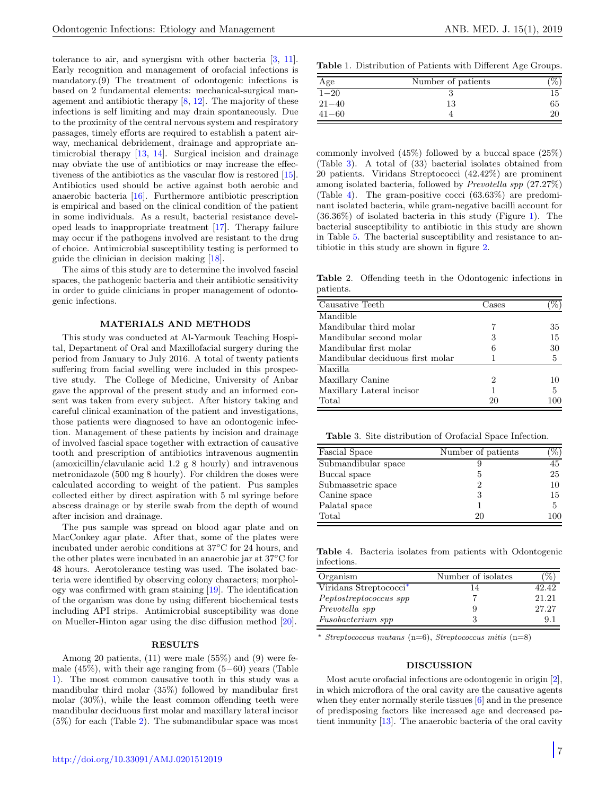tolerance to air, and synergism with other bacteria [\[3,](#page-3-0) [11\]](#page-3-8). Early recognition and management of orofacial infections is mandatory.(9) The treatment of odontogenic infections is based on 2 fundamental elements: mechanical-surgical management and antibiotic therapy [\[8,](#page-3-5) [12\]](#page-3-9). The majority of these infections is self limiting and may drain spontaneously. Due to the proximity of the central nervous system and respiratory passages, timely efforts are required to establish a patent airway, mechanical debridement, drainage and appropriate antimicrobial therapy [\[13,](#page-3-10) [14\]](#page-3-11). Surgical incision and drainage may obviate the use of antibiotics or may increase the effectiveness of the antibiotics as the vascular flow is restored [\[15\]](#page-3-12). Antibiotics used should be active against both aerobic and anaerobic bacteria [\[16\]](#page-3-13). Furthermore antibiotic prescription is empirical and based on the clinical condition of the patient in some individuals. As a result, bacterial resistance developed leads to inappropriate treatment [\[17\]](#page-3-14). Therapy failure may occur if the pathogens involved are resistant to the drug of choice. Antimicrobial susceptibility testing is performed to guide the clinician in decision making [\[18\]](#page-3-15).

The aims of this study are to determine the involved fascial spaces, the pathogenic bacteria and their antibiotic sensitivity in order to guide clinicians in proper management of odontogenic infections.

### MATERIALS AND METHODS

This study was conducted at Al-Yarmouk Teaching Hospital, Department of Oral and Maxillofacial surgery during the period from January to July 2016. A total of twenty patients suffering from facial swelling were included in this prospective study. The College of Medicine, University of Anbar gave the approval of the present study and an informed consent was taken from every subject. After history taking and careful clinical examination of the patient and investigations, those patients were diagnosed to have an odontogenic infection. Management of these patients by incision and drainage of involved fascial space together with extraction of causative tooth and prescription of antibiotics intravenous augmentin (amoxicillin/clavulanic acid 1.2 g 8 hourly) and intravenous metronidazole (500 mg 8 hourly). For children the doses were calculated according to weight of the patient. Pus samples collected either by direct aspiration with 5 ml syringe before abscess drainage or by sterile swab from the depth of wound after incision and drainage.

The pus sample was spread on blood agar plate and on MacConkey agar plate. After that, some of the plates were incubated under aerobic conditions at  $37^{\circ}$ C for 24 hours, and the other plates were incubated in an anaerobic jar at  $37^{\circ}$ C for 48 hours. Aerotolerance testing was used. The isolated bacteria were identified by observing colony characters; morphology was confirmed with gram staining [\[19\]](#page-3-16). The identification of the organism was done by using different biochemical tests including API strips. Antimicrobial susceptibility was done on Mueller-Hinton agar using the disc diffusion method [\[20\]](#page-3-17).

#### RESULTS

Among 20 patients, (11) were male (55%) and (9) were female (45%), with their age ranging from (5−60) years (Table [1\)](#page-1-0). The most common causative tooth in this study was a mandibular third molar (35%) followed by mandibular first molar (30%), while the least common offending teeth were mandibular deciduous first molar and maxillary lateral incisor (5%) for each (Table [2\)](#page-1-1). The submandibular space was most

<span id="page-1-0"></span>Table 1. Distribution of Patients with Different Age Groups.

| Age       | Number of patients |    |
|-----------|--------------------|----|
| $1 - 20$  |                    | 15 |
| $21 - 40$ | 13                 | 65 |
| $41 - 60$ |                    | 20 |

commonly involved (45%) followed by a buccal space (25%) (Table [3\)](#page-1-2). A total of (33) bacterial isolates obtained from 20 patients. Viridans Streptococci (42.42%) are prominent among isolated bacteria, followed by Prevotella spp (27.27%) (Table [4\)](#page-1-3). The gram-positive cocci (63.63%) are predominant isolated bacteria, while gram-negative bacilli account for (36.36%) of isolated bacteria in this study (Figure [1\)](#page-2-1). The bacterial susceptibility to antibiotic in this study are shown in Table [5.](#page-2-2) The bacterial susceptibility and resistance to antibiotic in this study are shown in figure [2.](#page-2-3)

<span id="page-1-1"></span>Table 2. Offending teeth in the Odontogenic infections in patients.

| Causative Teeth                  | Cases |     |  |
|----------------------------------|-------|-----|--|
| Mandible                         |       |     |  |
| Mandibular third molar           |       | 35  |  |
| Mandibular second molar          | 3     | 15  |  |
| Mandibular first molar           | 6     | 30  |  |
| Mandibular deciduous first molar |       | 5   |  |
| Maxilla.                         |       |     |  |
| Maxillary Canine                 | 2     | 10  |  |
| Maxillary Lateral incisor        | 1     | 5   |  |
| Total                            | 20    | 100 |  |

<span id="page-1-2"></span>Table 3. Site distribution of Orofacial Space Infection.

| Fascial Space       | Number of patients |     |
|---------------------|--------------------|-----|
| Submandibular space |                    | 45  |
| Buccal space        | 5                  | 25  |
| Submassetric space  | 2                  | 10  |
| Canine space        | З                  | 15  |
| Palatal space       |                    | 5   |
| Total               | 20                 | 100 |

<span id="page-1-3"></span>Table 4. Bacteria isolates from patients with Odontogenic infections.

| Organism                           | Number of isolates | $\%$  |
|------------------------------------|--------------------|-------|
| Viridans Streptococci <sup>*</sup> | 14                 | 42.42 |
| Peptostreptococcus spp             |                    | 21.21 |
| Prevotella spp                     | 9                  | 27.27 |
| Fusobacterium spp                  | З                  | 91    |

 $Streptococcus$  mutans (n=6),  $Streptococcus$  mitis (n=8)

## DISCUSSION

Most acute orofacial infections are odontogenic in origin [\[2\]](#page-2-4), in which microflora of the oral cavity are the causative agents when they enter normally sterile tissues [\[6\]](#page-3-3) and in the presence of predisposing factors like increased age and decreased patient immunity [\[13\]](#page-3-10). The anaerobic bacteria of the oral cavity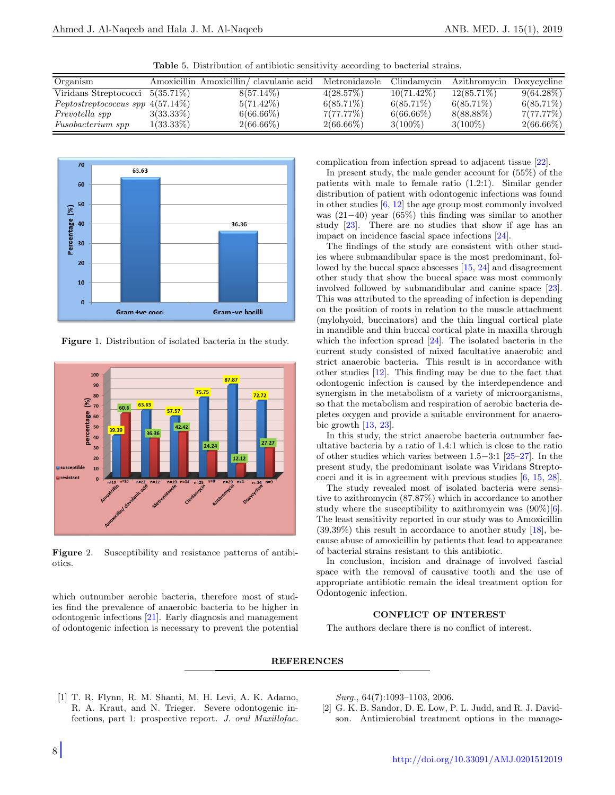Table 5. Distribution of antibiotic sensitivity according to bacterial strains.

<span id="page-2-2"></span>

| Organism                              |              | Amoxicillin Amoxicillin/clavulanic acid | Metronidazole | Clindamycin   | Azithromycin Doxycycline |              |
|---------------------------------------|--------------|-----------------------------------------|---------------|---------------|--------------------------|--------------|
| Viridans Streptococci $5(35.71\%)$    |              | $8(57.14\%)$                            | 4(28.57%)     | $10(71.42\%)$ | $12(85.71\%)$            | $9(64.28\%)$ |
| $Peptostreptococcus$ spp $4(57.14\%)$ |              | $5(71.42\%)$                            | $6(85.71\%)$  | $6(85.71\%)$  | $6(85.71\%)$             | $6(85.71\%)$ |
| Prevotella spp                        | $3(33.33\%)$ | $6(66.66\%)$                            | 7(77.77%)     | $6(66.66\%)$  | 8(88.88%)                | 7(77.77%)    |
| <i>Fusobacterium spp</i>              | $1(33.33\%)$ | $2(66.66\%)$                            | $2(66.66\%)$  | $3(100\%)$    | $3(100\%)$               | $2(66.66\%)$ |



<span id="page-2-1"></span>Figure 1. Distribution of isolated bacteria in the study.



<span id="page-2-3"></span>Figure 2. Susceptibility and resistance patterns of antibiotics.

which outnumber aerobic bacteria, therefore most of studies find the prevalence of anaerobic bacteria to be higher in odontogenic infections [\[21\]](#page-3-18). Early diagnosis and management of odontogenic infection is necessary to prevent the potential complication from infection spread to adjacent tissue [\[22\]](#page-3-19).

In present study, the male gender account for (55%) of the patients with male to female ratio (1.2:1). Similar gender distribution of patient with odontogenic infections was found in other studies [\[6,](#page-3-3) [12\]](#page-3-9) the age group most commonly involved was (21−40) year (65%) this finding was similar to another study [\[23\]](#page-3-20). There are no studies that show if age has an impact on incidence fascial space infections [\[24\]](#page-3-21).

The findings of the study are consistent with other studies where submandibular space is the most predominant, followed by the buccal space abscesses [\[15,](#page-3-12) [24\]](#page-3-21) and disagreement other study that show the buccal space was most commonly involved followed by submandibular and canine space [\[23\]](#page-3-20). This was attributed to the spreading of infection is depending on the position of roots in relation to the muscle attachment (mylohyoid, buccinators) and the thin lingual cortical plate in mandible and thin buccal cortical plate in maxilla through which the infection spread [\[24\]](#page-3-21). The isolated bacteria in the current study consisted of mixed facultative anaerobic and strict anaerobic bacteria. This result is in accordance with other studies [\[12\]](#page-3-9). This finding may be due to the fact that odontogenic infection is caused by the interdependence and synergism in the metabolism of a variety of microorganisms, so that the metabolism and respiration of aerobic bacteria depletes oxygen and provide a suitable environment for anaerobic growth [\[13,](#page-3-10) [23\]](#page-3-20).

In this study, the strict anaerobe bacteria outnumber facultative bacteria by a ratio of 1.4:1 which is close to the ratio of other studies which varies between 1.5−3:1 [\[25–](#page-3-22)[27\]](#page-3-23). In the present study, the predominant isolate was Viridans Streptococci and it is in agreement with previous studies [\[6,](#page-3-3) [15,](#page-3-12) [28\]](#page-3-24).

The study revealed most of isolated bacteria were sensitive to azithromycin (87.87%) which in accordance to another study where the susceptibility to azithromycin was  $(90\%)[6]$  $(90\%)[6]$ . The least sensitivity reported in our study was to Amoxicillin (39.39%) this result in accordance to another study [\[18\]](#page-3-15), because abuse of amoxicillin by patients that lead to appearance of bacterial strains resistant to this antibiotic.

In conclusion, incision and drainage of involved fascial space with the removal of causative tooth and the use of appropriate antibiotic remain the ideal treatment option for Odontogenic infection.

## CONFLICT OF INTEREST

The authors declare there is no conflict of interest.

# **REFERENCES**

<span id="page-2-0"></span>[1] T. R. Flynn, R. M. Shanti, M. H. Levi, A. K. Adamo, R. A. Kraut, and N. Trieger. Severe odontogenic infections, part 1: prospective report. J. oral Maxillofac. Surg., 64(7):1093-1103, 2006.

<span id="page-2-4"></span>[2] G. K. B. Sandor, D. E. Low, P. L. Judd, and R. J. Davidson. Antimicrobial treatment options in the manage